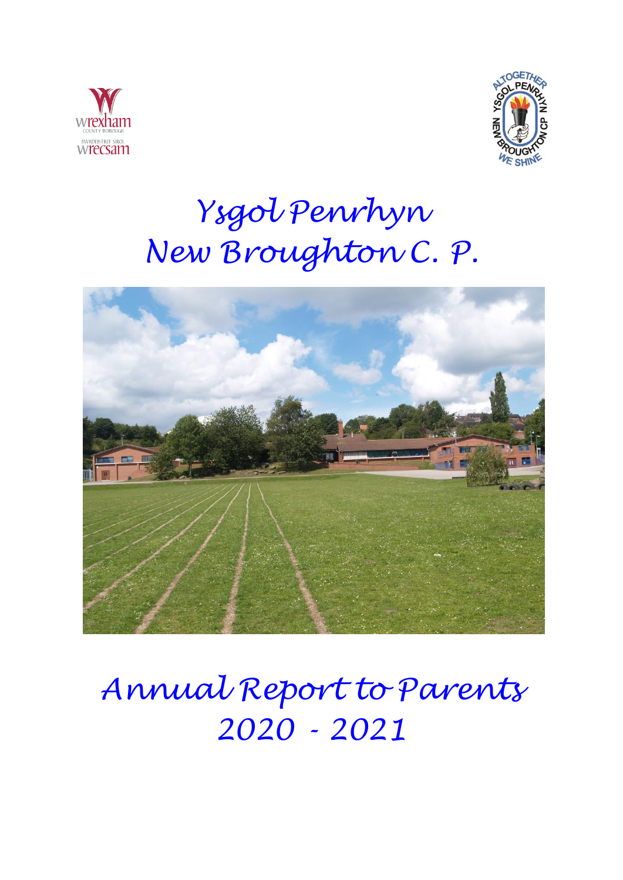



# *Ysgol Penrhyn New Broughton C. P.*



# *Annual Report to Parents 2020 - 2021*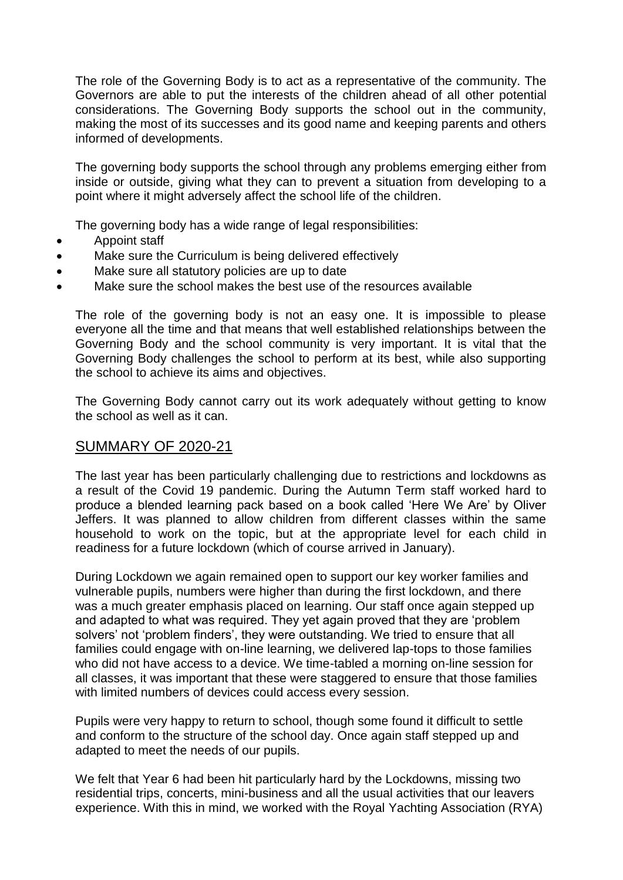The role of the Governing Body is to act as a representative of the community. The Governors are able to put the interests of the children ahead of all other potential considerations. The Governing Body supports the school out in the community, making the most of its successes and its good name and keeping parents and others informed of developments.

The governing body supports the school through any problems emerging either from inside or outside, giving what they can to prevent a situation from developing to a point where it might adversely affect the school life of the children.

The governing body has a wide range of legal responsibilities:

- Appoint staff
- Make sure the Curriculum is being delivered effectively
- Make sure all statutory policies are up to date
- Make sure the school makes the best use of the resources available

The role of the governing body is not an easy one. It is impossible to please everyone all the time and that means that well established relationships between the Governing Body and the school community is very important. It is vital that the Governing Body challenges the school to perform at its best, while also supporting the school to achieve its aims and objectives.

The Governing Body cannot carry out its work adequately without getting to know the school as well as it can.

# SUMMARY OF 2020-21

The last year has been particularly challenging due to restrictions and lockdowns as a result of the Covid 19 pandemic. During the Autumn Term staff worked hard to produce a blended learning pack based on a book called 'Here We Are' by Oliver Jeffers. It was planned to allow children from different classes within the same household to work on the topic, but at the appropriate level for each child in readiness for a future lockdown (which of course arrived in January).

During Lockdown we again remained open to support our key worker families and vulnerable pupils, numbers were higher than during the first lockdown, and there was a much greater emphasis placed on learning. Our staff once again stepped up and adapted to what was required. They yet again proved that they are 'problem solvers' not 'problem finders', they were outstanding. We tried to ensure that all families could engage with on-line learning, we delivered lap-tops to those families who did not have access to a device. We time-tabled a morning on-line session for all classes, it was important that these were staggered to ensure that those families with limited numbers of devices could access every session.

Pupils were very happy to return to school, though some found it difficult to settle and conform to the structure of the school day. Once again staff stepped up and adapted to meet the needs of our pupils.

We felt that Year 6 had been hit particularly hard by the Lockdowns, missing two residential trips, concerts, mini-business and all the usual activities that our leavers experience. With this in mind, we worked with the Royal Yachting Association (RYA)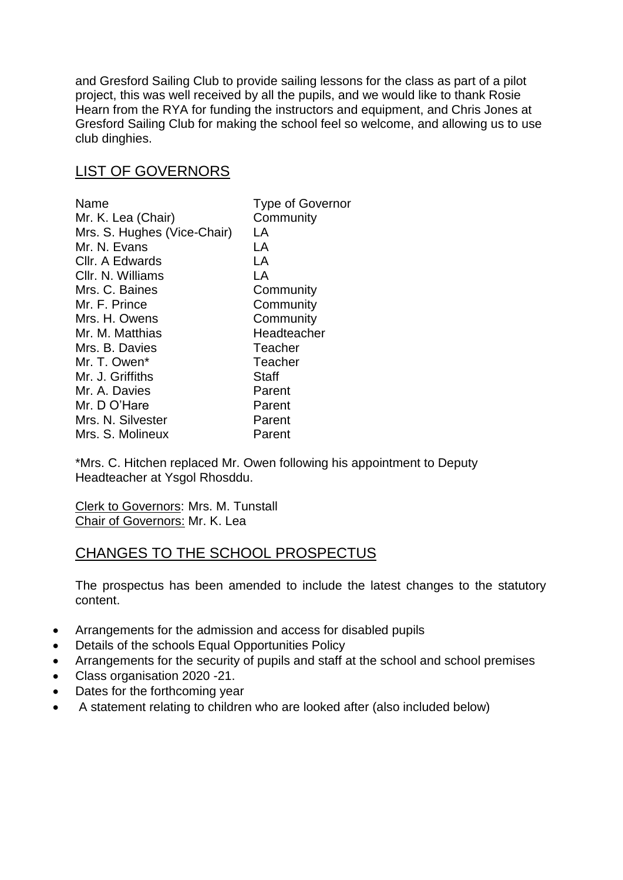and Gresford Sailing Club to provide sailing lessons for the class as part of a pilot project, this was well received by all the pupils, and we would like to thank Rosie Hearn from the RYA for funding the instructors and equipment, and Chris Jones at Gresford Sailing Club for making the school feel so welcome, and allowing us to use club dinghies.

# LIST OF GOVERNORS

| Name                        | <b>Type of Governor</b> |
|-----------------------------|-------------------------|
| Mr. K. Lea (Chair)          | Community               |
| Mrs. S. Hughes (Vice-Chair) | LA                      |
| Mr. N. Evans                | LA                      |
| Cllr. A Edwards             | LA                      |
| CIIr. N. Williams           | LA                      |
| Mrs. C. Baines              | Community               |
| Mr. F. Prince               | Community               |
| Mrs. H. Owens               | Community               |
| Mr. M. Matthias             | Headteacher             |
| Mrs. B. Davies              | Teacher                 |
| Mr. T. Owen*                | Teacher                 |
| Mr. J. Griffiths            | Staff                   |
| Mr. A. Davies               | Parent                  |
| Mr. D O'Hare                | Parent                  |
| Mrs. N. Silvester           | Parent                  |
| Mrs. S. Molineux            | Parent                  |

\*Mrs. C. Hitchen replaced Mr. Owen following his appointment to Deputy Headteacher at Ysgol Rhosddu.

Clerk to Governors: Mrs. M. Tunstall Chair of Governors: Mr. K. Lea

# CHANGES TO THE SCHOOL PROSPECTUS

The prospectus has been amended to include the latest changes to the statutory content.

- Arrangements for the admission and access for disabled pupils
- Details of the schools Equal Opportunities Policy
- Arrangements for the security of pupils and staff at the school and school premises
- Class organisation 2020 -21.
- Dates for the forthcoming year
- A statement relating to children who are looked after (also included below)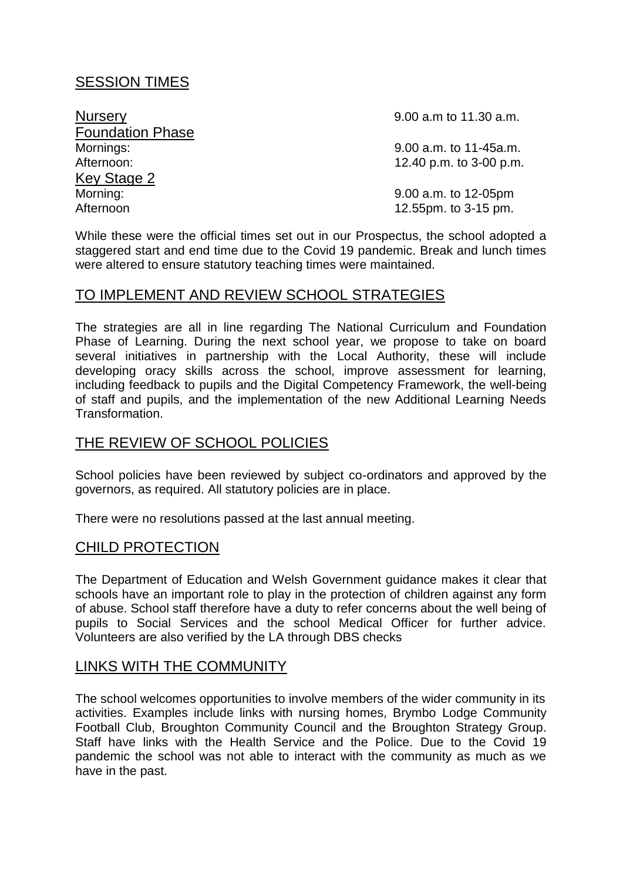# SESSION TIMES

**Foundation Phase**<br>Mornings: **Key Stage 2**<br>Morning: Afternoon 12.55pm. to 3-15 pm.

Nursery 2.00 a.m to 11.30 a.m.

9.00 a.m. to 11-45a.m. Afternoon: 12.40 p.m. to 3-00 p.m.

9.00 a.m. to 12-05pm

While these were the official times set out in our Prospectus, the school adopted a staggered start and end time due to the Covid 19 pandemic. Break and lunch times were altered to ensure statutory teaching times were maintained.

# TO IMPLEMENT AND REVIEW SCHOOL STRATEGIES

The strategies are all in line regarding The National Curriculum and Foundation Phase of Learning. During the next school year, we propose to take on board several initiatives in partnership with the Local Authority, these will include developing oracy skills across the school, improve assessment for learning, including feedback to pupils and the Digital Competency Framework, the well-being of staff and pupils, and the implementation of the new Additional Learning Needs Transformation.

# THE REVIEW OF SCHOOL POLICIES

School policies have been reviewed by subject co-ordinators and approved by the governors, as required. All statutory policies are in place.

There were no resolutions passed at the last annual meeting.

# CHILD PROTECTION

The Department of Education and Welsh Government guidance makes it clear that schools have an important role to play in the protection of children against any form of abuse. School staff therefore have a duty to refer concerns about the well being of pupils to Social Services and the school Medical Officer for further advice. Volunteers are also verified by the LA through DBS checks

# LINKS WITH THE COMMUNITY

The school welcomes opportunities to involve members of the wider community in its activities. Examples include links with nursing homes, Brymbo Lodge Community Football Club, Broughton Community Council and the Broughton Strategy Group. Staff have links with the Health Service and the Police. Due to the Covid 19 pandemic the school was not able to interact with the community as much as we have in the past.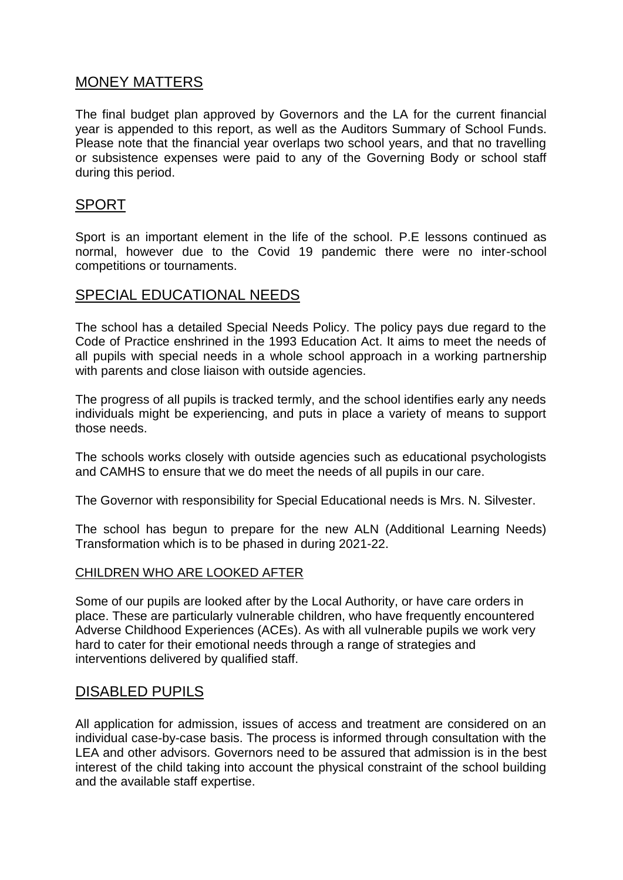# MONEY MATTERS

The final budget plan approved by Governors and the LA for the current financial year is appended to this report, as well as the Auditors Summary of School Funds. Please note that the financial year overlaps two school years, and that no travelling or subsistence expenses were paid to any of the Governing Body or school staff during this period.

# SPORT

Sport is an important element in the life of the school. P.E lessons continued as normal, however due to the Covid 19 pandemic there were no inter-school competitions or tournaments.

# SPECIAL EDUCATIONAL NEEDS

The school has a detailed Special Needs Policy. The policy pays due regard to the Code of Practice enshrined in the 1993 Education Act. It aims to meet the needs of all pupils with special needs in a whole school approach in a working partnership with parents and close liaison with outside agencies.

The progress of all pupils is tracked termly, and the school identifies early any needs individuals might be experiencing, and puts in place a variety of means to support those needs.

The schools works closely with outside agencies such as educational psychologists and CAMHS to ensure that we do meet the needs of all pupils in our care.

The Governor with responsibility for Special Educational needs is Mrs. N. Silvester.

The school has begun to prepare for the new ALN (Additional Learning Needs) Transformation which is to be phased in during 2021-22.

## CHILDREN WHO ARE LOOKED AFTER

Some of our pupils are looked after by the Local Authority, or have care orders in place. These are particularly vulnerable children, who have frequently encountered Adverse Childhood Experiences (ACEs). As with all vulnerable pupils we work very hard to cater for their emotional needs through a range of strategies and interventions delivered by qualified staff.

# DISABLED PUPILS

All application for admission, issues of access and treatment are considered on an individual case-by-case basis. The process is informed through consultation with the LEA and other advisors. Governors need to be assured that admission is in the best interest of the child taking into account the physical constraint of the school building and the available staff expertise.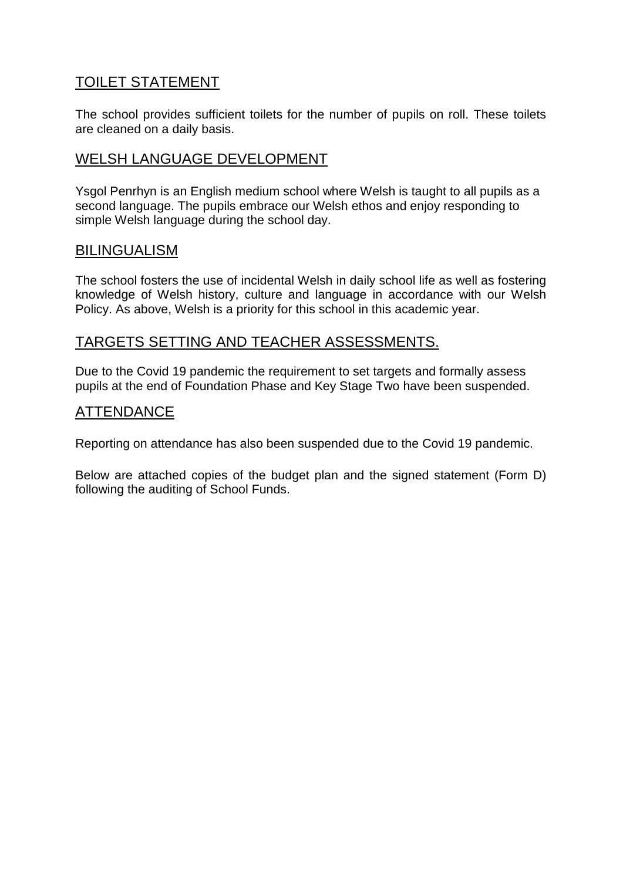# TOILET STATEMENT

The school provides sufficient toilets for the number of pupils on roll. These toilets are cleaned on a daily basis.

# WELSH LANGUAGE DEVELOPMENT

Ysgol Penrhyn is an English medium school where Welsh is taught to all pupils as a second language. The pupils embrace our Welsh ethos and enjoy responding to simple Welsh language during the school day.

# BILINGUALISM

The school fosters the use of incidental Welsh in daily school life as well as fostering knowledge of Welsh history, culture and language in accordance with our Welsh Policy. As above, Welsh is a priority for this school in this academic year.

# TARGETS SETTING AND TEACHER ASSESSMENTS.

Due to the Covid 19 pandemic the requirement to set targets and formally assess pupils at the end of Foundation Phase and Key Stage Two have been suspended.

# ATTENDANCE

Reporting on attendance has also been suspended due to the Covid 19 pandemic.

Below are attached copies of the budget plan and the signed statement (Form D) following the auditing of School Funds.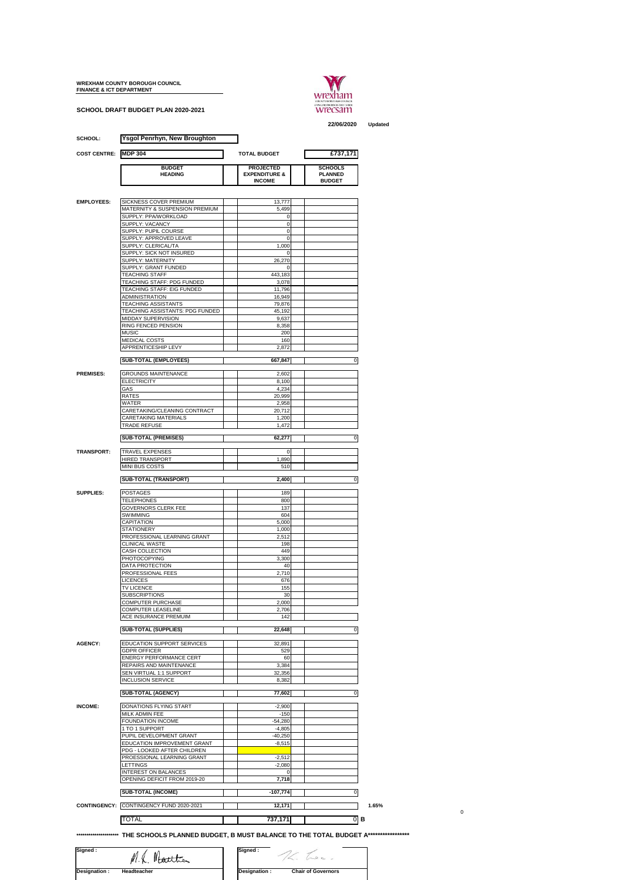## **WREXHAM COUNTY BOROUGH COUNCIL FINANCE & ICT DEPARTMENT**

**SCHOOL DRAFT BUDGET PLAN 2020-2021**



**22/06/2020 Updated**

 $\,$  0  $\,$ 

|                             | <b>Ysgol Penrhyn, New Broughton</b>                           |                                              |                                  |  |  |  |  |
|-----------------------------|---------------------------------------------------------------|----------------------------------------------|----------------------------------|--|--|--|--|
| <b>COST CENTRE: MDP 304</b> |                                                               | <b>TOTAL BUDGET</b><br>£737,171              |                                  |  |  |  |  |
|                             |                                                               |                                              |                                  |  |  |  |  |
|                             | <b>BUDGET</b><br><b>HEADING</b>                               | <b>PROJECTED</b><br><b>EXPENDITURE &amp;</b> | <b>SCHOOLS</b><br><b>PLANNED</b> |  |  |  |  |
|                             |                                                               | <b>INCOME</b>                                | <b>BUDGET</b>                    |  |  |  |  |
|                             |                                                               |                                              |                                  |  |  |  |  |
| <b>EMPLOYEES:</b>           | SICKNESS COVER PREMIUM                                        | 13,777                                       |                                  |  |  |  |  |
|                             | MATERNITY & SUSPENSION PREMIUM<br>SUPPLY: PPA/WORKLOAD        | 5,499                                        |                                  |  |  |  |  |
|                             | SUPPLY: VACANCY                                               | 0<br>0                                       |                                  |  |  |  |  |
|                             | SUPPLY: PUPIL COURSE                                          | $\mathbf 0$                                  |                                  |  |  |  |  |
|                             | SUPPLY: APPROVED LEAVE<br>SUPPLY: CLERICAL/TA                 | $\mathbf 0$<br>1,000                         |                                  |  |  |  |  |
|                             | SUPPLY: SICK NOT INSURED                                      | 0                                            |                                  |  |  |  |  |
|                             | SUPPLY: MATERNITY                                             | 26,270                                       |                                  |  |  |  |  |
|                             | SUPPLY: GRANT FUNDED<br><b>TEACHING STAFF</b>                 | 0<br>443,183                                 |                                  |  |  |  |  |
|                             | TEACHING STAFF: PDG FUNDED                                    | 3,078                                        |                                  |  |  |  |  |
|                             | TEACHING STAFF: EIG FUNDED                                    | 11,796                                       |                                  |  |  |  |  |
|                             | ADMINISTRATION                                                | 16,949                                       |                                  |  |  |  |  |
|                             | <b>TEACHING ASSISTANTS</b><br>TEACHING ASSISTANTS: PDG FUNDED | 79,876<br>45,192                             |                                  |  |  |  |  |
|                             | MIDDAY SUPERVISION                                            | 9,637                                        |                                  |  |  |  |  |
|                             | RING FENCED PENSION                                           | 8,358                                        |                                  |  |  |  |  |
|                             | MUSIC                                                         | 200                                          |                                  |  |  |  |  |
|                             | MEDICAL COSTS<br><b>APPRENTICESHIP LEVY</b>                   | 160<br>2,872                                 |                                  |  |  |  |  |
|                             |                                                               |                                              |                                  |  |  |  |  |
|                             | <b>SUB-TOTAL (EMPLOYEES)</b>                                  | 667,847                                      | 0                                |  |  |  |  |
| <b>PREMISES:</b>            | <b>GROUNDS MAINTENANCE</b>                                    | 2,602                                        |                                  |  |  |  |  |
|                             | <b>ELECTRICITY</b>                                            | 8,100                                        |                                  |  |  |  |  |
|                             | GAS<br>RATES                                                  | 4,234                                        |                                  |  |  |  |  |
|                             | WATER                                                         | 20,999<br>2,958                              |                                  |  |  |  |  |
|                             | CARETAKING/CLEANING CONTRACT                                  | 20,712                                       |                                  |  |  |  |  |
|                             | CARETAKING MATERIALS                                          | 1,200                                        |                                  |  |  |  |  |
|                             | TRADE REFUSE                                                  | 1,472                                        |                                  |  |  |  |  |
|                             | <b>SUB-TOTAL (PREMISES)</b>                                   | 62,277                                       | 0                                |  |  |  |  |
| <b>TRANSPORT:</b>           | <b>TRAVEL EXPENSES</b>                                        | 0                                            |                                  |  |  |  |  |
|                             | <b>HIRED TRANSPORT</b>                                        | 1,890                                        |                                  |  |  |  |  |
|                             | MINI BUS COSTS                                                | 510                                          |                                  |  |  |  |  |
|                             | SUB-TOTAL (TRANSPORT)                                         | 2,400                                        | 0                                |  |  |  |  |
|                             |                                                               |                                              |                                  |  |  |  |  |
| SUPPLIES:                   | POSTAGES<br><b>TELEPHONES</b>                                 | 189<br>800                                   |                                  |  |  |  |  |
|                             | <b>GOVERNORS CLERK FEE</b>                                    | 137                                          |                                  |  |  |  |  |
|                             | SWIMMING                                                      | 604                                          |                                  |  |  |  |  |
|                             | CAPITATION                                                    | 5,000                                        |                                  |  |  |  |  |
|                             | <b>STATIONERY</b><br>PROFESSIONAL LEARNING GRANT              | 1,000<br>2,512                               |                                  |  |  |  |  |
|                             | <b>CLINICAL WASTE</b>                                         | 198                                          |                                  |  |  |  |  |
|                             | CASH COLLECTION                                               | 449                                          |                                  |  |  |  |  |
|                             | PHOTOCOPYING                                                  | 3,300                                        |                                  |  |  |  |  |
|                             | DATA PROTECTION<br>PROFESSIONAL FEES                          | 40<br>2,710                                  |                                  |  |  |  |  |
|                             | LICENCES                                                      | 676                                          |                                  |  |  |  |  |
|                             | <b>TV LICENCE</b>                                             | 155                                          |                                  |  |  |  |  |
|                             | <b>SUBSCRIPTIONS</b>                                          | 30                                           |                                  |  |  |  |  |
|                             | COMPUTER PURCHASE<br>COMPUTER LEASELINE                       | 2,000<br>2,706                               |                                  |  |  |  |  |
|                             | ACE INSURANCE PREMUIM                                         | 142                                          |                                  |  |  |  |  |
|                             | <b>SUB-TOTAL (SUPPLIES)</b>                                   | 22,648                                       |                                  |  |  |  |  |
|                             |                                                               |                                              | 0                                |  |  |  |  |
| <b>AGENCY:</b>              | EDUCATION SUPPORT SERVICES                                    | 32,891                                       |                                  |  |  |  |  |
|                             | <b>GDPR OFFICER</b>                                           | 529                                          |                                  |  |  |  |  |
|                             | <b>ENERGY PERFORMANCE CERT</b><br>REPAIRS AND MAINTENANCE     | 60<br>3,384                                  |                                  |  |  |  |  |
|                             | SEN VIRTUAL 1:1 SUPPORT                                       | 32,356                                       |                                  |  |  |  |  |
|                             | <b>INCLUSION SERVICE</b>                                      | 8,382                                        |                                  |  |  |  |  |
|                             | <b>SUB-TOTAL (AGENCY)</b>                                     | 77,602                                       | 0                                |  |  |  |  |
|                             |                                                               |                                              |                                  |  |  |  |  |
| INCOME:                     | DONATIONS FLYING START<br>MILK ADMIN FEE                      | $-2,900$<br>$-150$                           |                                  |  |  |  |  |
|                             | FOUNDATION INCOME                                             | $-54,280$                                    |                                  |  |  |  |  |
|                             | 1 TO 1 SUPPORT                                                | $-4,805$                                     |                                  |  |  |  |  |
|                             | PUPIL DEVELOPMENT GRANT                                       | 40,250                                       |                                  |  |  |  |  |
|                             | EDUCATION IMPROVEMENT GRANT                                   | $-8,515$                                     |                                  |  |  |  |  |
|                             | PDG - LOOKED AFTER CHILDREN<br>PROESSIONAL LEARNING GRANT     | $-2,512$                                     |                                  |  |  |  |  |
|                             | LETTINGS                                                      | $-2,080$                                     |                                  |  |  |  |  |
|                             | INTEREST ON BALANCES                                          | 0                                            |                                  |  |  |  |  |
|                             | OPENING DEFICIT FROM 2019-20                                  | 7,718                                        |                                  |  |  |  |  |
|                             | <b>SUB-TOTAL (INCOME)</b>                                     | $-107,774$                                   | 0                                |  |  |  |  |
|                             |                                                               |                                              |                                  |  |  |  |  |
|                             | CONTINGENCY: CONTINGENCY FUND 2020-2021                       | 12,171                                       |                                  |  |  |  |  |
|                             |                                                               |                                              |                                  |  |  |  |  |
|                             | TOTAL                                                         | 737,171                                      | $0 \mid B$                       |  |  |  |  |

**Signed : Signed :**

**Designation : Headteacher Designation : Chair of Governors**

The Loc.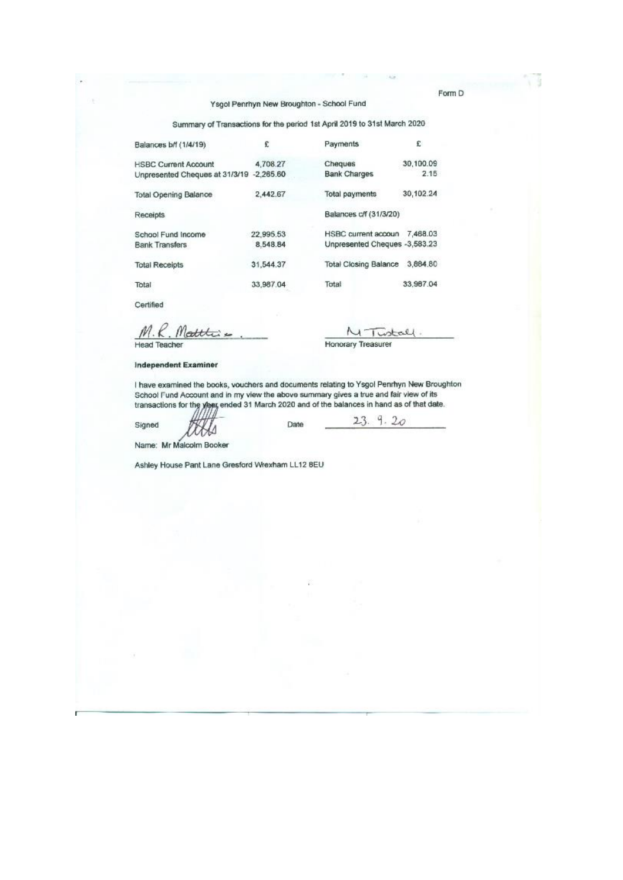Summary of Transactions for the period 1st April 2019 to 31st March 2020

| Balances b/f (1/4/19)                    | £         | Payments                      | £.        |
|------------------------------------------|-----------|-------------------------------|-----------|
| <b>HSBC Current Account</b>              | 4,708.27  | Cheques                       | 30.100.09 |
| Unpresented Cheques at 31/3/19 -2,265.60 |           | <b>Bank Charges</b>           | 2.15      |
| <b>Total Opening Balance</b>             | 2.442.67  | <b>Total payments</b>         | 30,102.24 |
| Receipts                                 |           | Balances c/f (31/3/20)        |           |
| School Fund Income                       | 22.995.53 | HSBC current accoun           | 7.468.03  |
| <b>Bank Transfers</b>                    | 8.548.84  | Unpresented Cheques -3,583.23 |           |
| <b>Total Receipts</b>                    | 31,544.37 | Total Closing Balance         | 3,884.80  |
| Total                                    | 33,987.04 | Total                         | 33.967.04 |

Certified

M.R. Matthis **Head Teacher** 

V  $\Delta t = 0$ **Honorary Treasurer** 

Independent Examiner

I have examined the books, vouchers and documents relating to Ysgol Penrhyn New Broughton<br>School Fund Account and in my view the above summary gives a true and fair view of its<br>transactions for the year, ended 31 March 202

Signed

Date

 $9.20$  $23.$ 

Name: Mr Malcolm Booker

Ashley House Pant Lane Gresford Wrexham LL12 BEU

Form D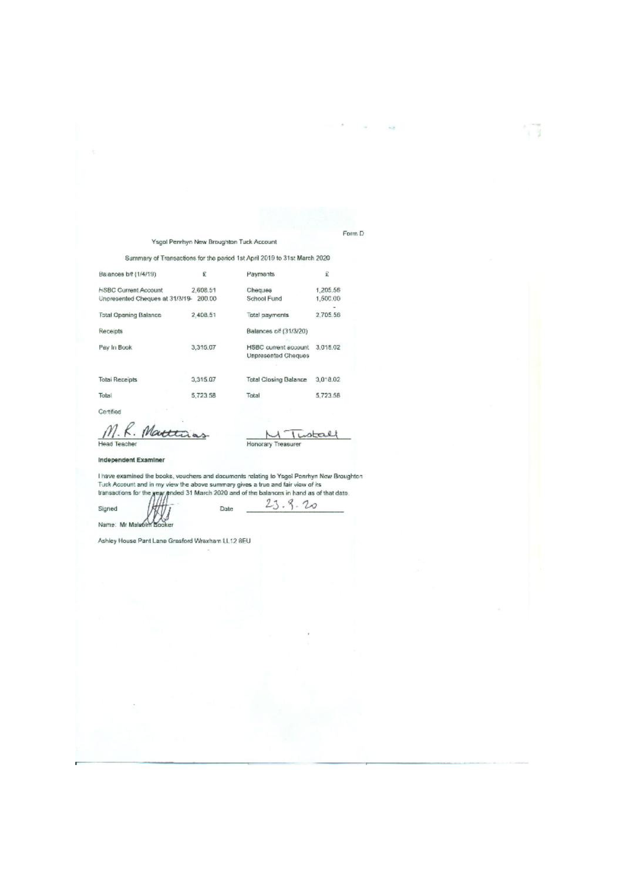Ysgol Penrhyn New Broughton Tuck Account

Summary of Transactions for the period 1st April 2019 to 31st March 2020

| Balances b/f (1/4/19)                                          | £                  | Payments                                    | £                    |  |
|----------------------------------------------------------------|--------------------|---------------------------------------------|----------------------|--|
| <b>HSBC Current Account</b><br>Unoresented Cheques at 31/3/19- | 2,608.51<br>200.00 | Cheques<br>School Fund                      | 1,205,56<br>1,500.00 |  |
| <b>Total Opening Balance</b>                                   | 2.409.51           | Total payments                              | 2.705.56             |  |
| Receipts                                                       |                    | Balances of (31/3/20)                       |                      |  |
| Pay In Book                                                    | 3,315,07           | HSBC current account<br>Unpresented Cheques | 3.018.02             |  |
|                                                                | 3,315.07           | <b>Total Closing Balance</b>                | 3.012.02             |  |
| Total Receipts                                                 |                    |                                             |                      |  |
| Total                                                          | 5.723.58           | Total                                       | 5.723.58             |  |
|                                                                |                    |                                             |                      |  |

Certified

Signed

 $M.$   $R.$  Head Teacher Matti

ŧι Honorary Treasurer

 $23.9.20$ 

Form D

主催

#### Independent Examiner

I have examined the books, vouchers and documents relating to Ysgol Penrhyn New Broughton<br>Tuck Account and in my view the above summary gives a true and fair view of its<br>transactions for the year, photod 31 March 2020 and

Date Name: Mr Malaonn Booker

Ashley House Pant Lane Grasford Wrexham LL12 8EU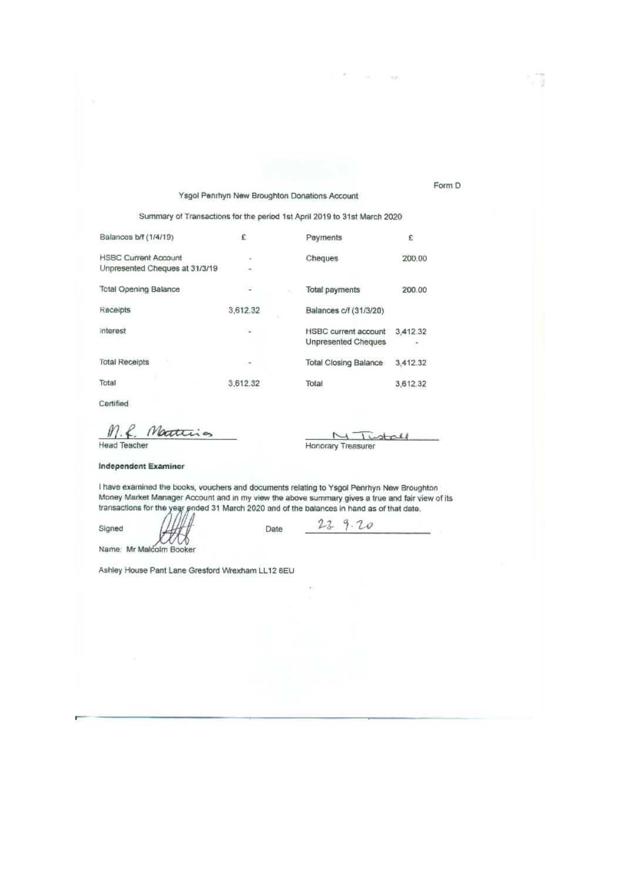### Ysgol Penrhyn New Broughton Donations Account

Summary of Transactions for the period 1st April 2019 to 31st March 2020

| Balances b/f (1/4/19)                                         | £          | Payments                                           | £        |
|---------------------------------------------------------------|------------|----------------------------------------------------|----------|
| <b>HSBC Current Account</b><br>Unpresented Cheques at 31/3/19 | $\equiv$   | Cheques                                            | 200.00   |
| <b>Total Opening Balance</b>                                  | $\sim$ $-$ | Total payments                                     | 200.00   |
| Receipts                                                      | 3,612.32   | Balances c/f (31/3/20)                             |          |
| interest                                                      |            | <b>HSBC</b> current account<br>Unpresented Cheques | 3.412.32 |
| <b>Total Receipts</b>                                         |            | <b>Total Closing Balance</b>                       | 3.412.32 |
| Total                                                         | 3.612.32   | Total                                              | 3,612.32 |

Certified

M.f. Matterias

 $\overline{ }$ Tustoff Honorary Treasurer

**Head Teacher** 

### **Independent Examiner**

I have examined the books, vouchers and documents relating to Ysgol Penrhyn New Broughton Money Market Manager Account and in my view the above summary gives a true and fair view of its transactions for the year ended 31 March 2020 and of the balances in hand as of that date.

Date

Signed

 $23 - 9.20$ 

w Name: Mr Malcolm Booker

Ashley House Pant Lane Gresford Wrexham LL12 8EU

Form D